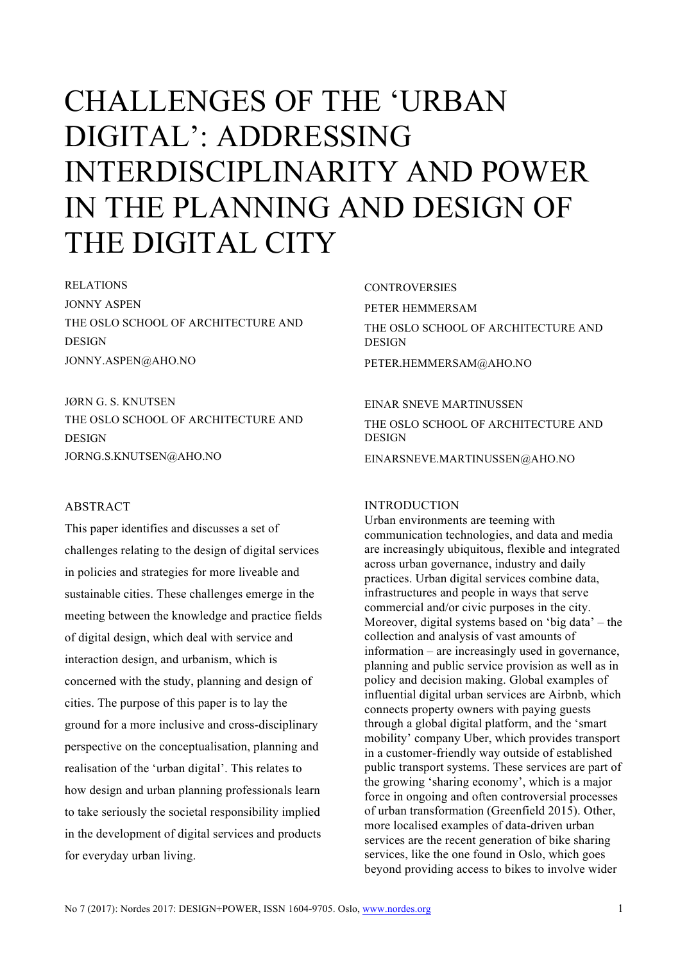# CHALLENGES OF THE 'URBAN DIGITAL': ADDRESSING INTERDISCIPLINARITY AND POWER IN THE PLANNING AND DESIGN OF THE DIGITAL CITY

RELATIONS JONNY ASPEN THE OSLO SCHOOL OF ARCHITECTURE AND **DESIGN** JONNY.ASPEN@AHO.NO

JØRN G. S. KNUTSEN THE OSLO SCHOOL OF ARCHITECTURE AND DESIGN JORNG.S.KNUTSEN@AHO.NO

## ABSTRACT

This paper identifies and discusses a set of challenges relating to the design of digital services in policies and strategies for more liveable and sustainable cities. These challenges emerge in the meeting between the knowledge and practice fields of digital design, which deal with service and interaction design, and urbanism, which is concerned with the study, planning and design of cities. The purpose of this paper is to lay the ground for a more inclusive and cross-disciplinary perspective on the conceptualisation, planning and realisation of the 'urban digital'. This relates to how design and urban planning professionals learn to take seriously the societal responsibility implied in the development of digital services and products for everyday urban living.

**CONTROVERSIES** PETER HEMMERSAM THE OSLO SCHOOL OF ARCHITECTURE AND DESIGN PETER.HEMMERSAM@AHO.NO

#### EINAR SNEVE MARTINUSSEN

THE OSLO SCHOOL OF ARCHITECTURE AND DESIGN

EINARSNEVE.MARTINUSSEN@AHO.NO

#### INTRODUCTION

Urban environments are teeming with communication technologies, and data and media are increasingly ubiquitous, flexible and integrated across urban governance, industry and daily practices. Urban digital services combine data, infrastructures and people in ways that serve commercial and/or civic purposes in the city. Moreover, digital systems based on 'big data' – the collection and analysis of vast amounts of information – are increasingly used in governance, planning and public service provision as well as in policy and decision making. Global examples of influential digital urban services are Airbnb, which connects property owners with paying guests through a global digital platform, and the 'smart mobility' company Uber, which provides transport in a customer-friendly way outside of established public transport systems. These services are part of the growing 'sharing economy', which is a major force in ongoing and often controversial processes of urban transformation (Greenfield 2015). Other, more localised examples of data-driven urban services are the recent generation of bike sharing services, like the one found in Oslo, which goes beyond providing access to bikes to involve wider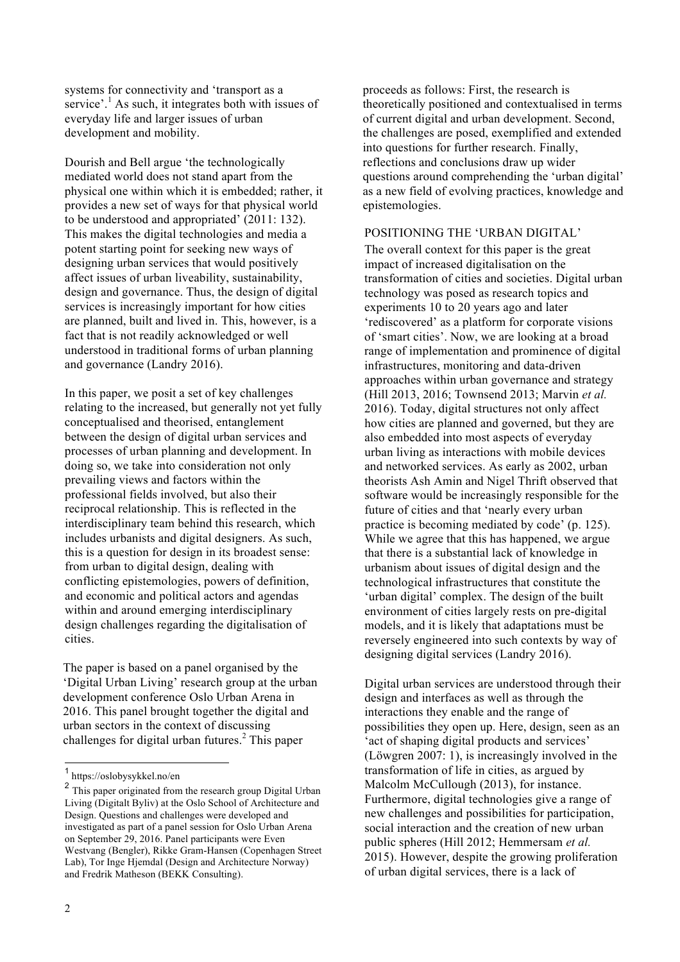systems for connectivity and 'transport as a service'.<sup>1</sup> As such, it integrates both with issues of everyday life and larger issues of urban development and mobility.

Dourish and Bell argue 'the technologically mediated world does not stand apart from the physical one within which it is embedded; rather, it provides a new set of ways for that physical world to be understood and appropriated' (2011: 132). This makes the digital technologies and media a potent starting point for seeking new ways of designing urban services that would positively affect issues of urban liveability, sustainability, design and governance. Thus, the design of digital services is increasingly important for how cities are planned, built and lived in. This, however, is a fact that is not readily acknowledged or well understood in traditional forms of urban planning and governance (Landry 2016).

In this paper, we posit a set of key challenges relating to the increased, but generally not yet fully conceptualised and theorised, entanglement between the design of digital urban services and processes of urban planning and development. In doing so, we take into consideration not only prevailing views and factors within the professional fields involved, but also their reciprocal relationship. This is reflected in the interdisciplinary team behind this research, which includes urbanists and digital designers. As such, this is a question for design in its broadest sense: from urban to digital design, dealing with conflicting epistemologies, powers of definition, and economic and political actors and agendas within and around emerging interdisciplinary design challenges regarding the digitalisation of cities.

The paper is based on a panel organised by the 'Digital Urban Living' research group at the urban development conference Oslo Urban Arena in 2016. This panel brought together the digital and urban sectors in the context of discussing challenges for digital urban futures.<sup>2</sup> This paper

proceeds as follows: First, the research is theoretically positioned and contextualised in terms of current digital and urban development. Second, the challenges are posed, exemplified and extended into questions for further research. Finally, reflections and conclusions draw up wider questions around comprehending the 'urban digital' as a new field of evolving practices, knowledge and epistemologies.

#### POSITIONING THE 'URBAN DIGITAL'

The overall context for this paper is the great impact of increased digitalisation on the transformation of cities and societies. Digital urban technology was posed as research topics and experiments 10 to 20 years ago and later 'rediscovered' as a platform for corporate visions of 'smart cities'. Now, we are looking at a broad range of implementation and prominence of digital infrastructures, monitoring and data-driven approaches within urban governance and strategy (Hill 2013, 2016; Townsend 2013; Marvin *et al.* 2016). Today, digital structures not only affect how cities are planned and governed, but they are also embedded into most aspects of everyday urban living as interactions with mobile devices and networked services. As early as 2002, urban theorists Ash Amin and Nigel Thrift observed that software would be increasingly responsible for the future of cities and that 'nearly every urban practice is becoming mediated by code' (p. 125). While we agree that this has happened, we argue that there is a substantial lack of knowledge in urbanism about issues of digital design and the technological infrastructures that constitute the 'urban digital' complex. The design of the built environment of cities largely rests on pre-digital models, and it is likely that adaptations must be reversely engineered into such contexts by way of designing digital services (Landry 2016).

Digital urban services are understood through their design and interfaces as well as through the interactions they enable and the range of possibilities they open up. Here, design, seen as an 'act of shaping digital products and services' (Löwgren 2007: 1), is increasingly involved in the transformation of life in cities, as argued by Malcolm McCullough (2013), for instance. Furthermore, digital technologies give a range of new challenges and possibilities for participation, social interaction and the creation of new urban public spheres (Hill 2012; Hemmersam *et al.* 2015). However, despite the growing proliferation of urban digital services, there is a lack of

<sup>1</sup> https://oslobysykkel.no/en

<sup>&</sup>lt;sup>2</sup> This paper originated from the research group Digital Urban Living (Digitalt Byliv) at the Oslo School of Architecture and Design. Questions and challenges were developed and investigated as part of a panel session for Oslo Urban Arena on September 29, 2016. Panel participants were Even Westvang (Bengler), Rikke Gram-Hansen (Copenhagen Street Lab), Tor Inge Hjemdal (Design and Architecture Norway) and Fredrik Matheson (BEKK Consulting).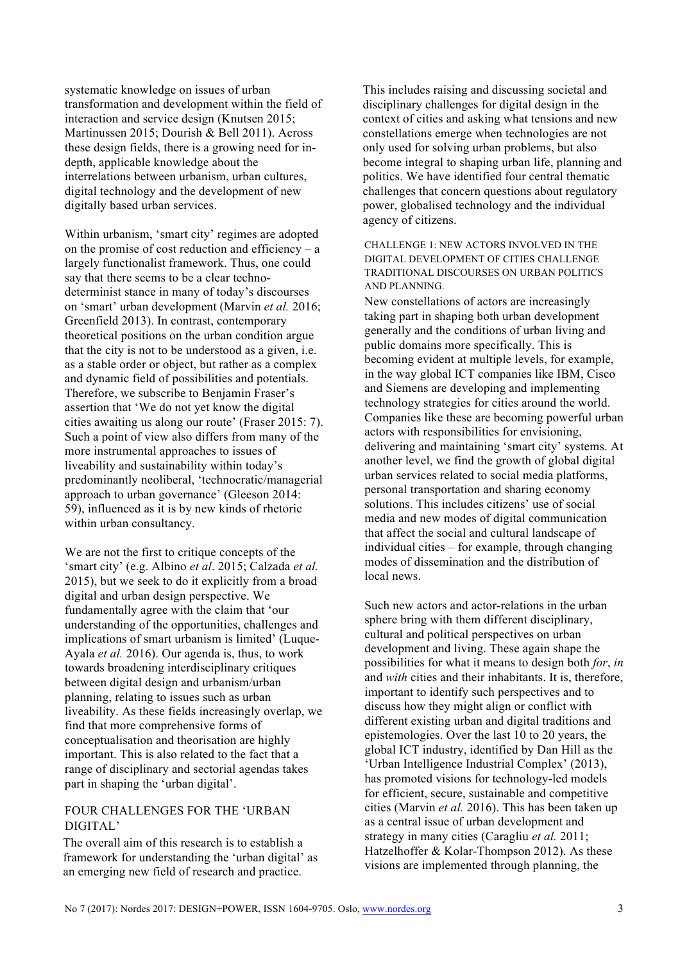systematic knowledge on issues of urban transformation and development within the field of interaction and service design (Knutsen 2015; Martinussen 2015; Dourish & Bell 2011). Across these design fields, there is a growing need for indepth, applicable knowledge about the interrelations between urbanism, urban cultures, digital technology and the development of new digitally based urban services.

Within urbanism, 'smart city' regimes are adopted on the promise of cost reduction and efficiency –  $a$ largely functionalist framework. Thus, one could say that there seems to be a clear technodeterminist stance in many of today's discourses on 'smart' urban development (Marvin *et al.* 2016; Greenfield 2013). In contrast, contemporary theoretical positions on the urban condition argue that the city is not to be understood as a given, i.e. as a stable order or object, but rather as a complex and dynamic field of possibilities and potentials. Therefore, we subscribe to Benjamin Fraser's assertion that 'We do not yet know the digital cities awaiting us along our route' (Fraser 2015: 7). Such a point of view also differs from many of the more instrumental approaches to issues of liveability and sustainability within today's predominantly neoliberal, 'technocratic/managerial approach to urban governance' (Gleeson 2014: 59), influenced as it is by new kinds of rhetoric within urban consultancy.

We are not the first to critique concepts of the 'smart city' (e.g. Albino *et al*. 2015; Calzada *et al.* 2015), but we seek to do it explicitly from a broad digital and urban design perspective. We fundamentally agree with the claim that 'our understanding of the opportunities, challenges and implications of smart urbanism is limited' (Luque-Ayala *et al.* 2016). Our agenda is, thus, to work towards broadening interdisciplinary critiques between digital design and urbanism/urban planning, relating to issues such as urban liveability. As these fields increasingly overlap, we find that more comprehensive forms of conceptualisation and theorisation are highly important. This is also related to the fact that a range of disciplinary and sectorial agendas takes part in shaping the 'urban digital'.

### FOUR CHALLENGES FOR THE 'URBAN DIGITAL'

The overall aim of this research is to establish a framework for understanding the 'urban digital' as an emerging new field of research and practice.

This includes raising and discussing societal and disciplinary challenges for digital design in the context of cities and asking what tensions and new constellations emerge when technologies are not only used for solving urban problems, but also become integral to shaping urban life, planning and politics. We have identified four central thematic challenges that concern questions about regulatory power, globalised technology and the individual agency of citizens.

CHALLENGE 1: NEW ACTORS INVOLVED IN THE DIGITAL DEVELOPMENT OF CITIES CHALLENGE TRADITIONAL DISCOURSES ON URBAN POLITICS AND PLANNING.

New constellations of actors are increasingly taking part in shaping both urban development generally and the conditions of urban living and public domains more specifically. This is becoming evident at multiple levels, for example, in the way global ICT companies like IBM, Cisco and Siemens are developing and implementing technology strategies for cities around the world. Companies like these are becoming powerful urban actors with responsibilities for envisioning, delivering and maintaining 'smart city' systems. At another level, we find the growth of global digital urban services related to social media platforms, personal transportation and sharing economy solutions. This includes citizens' use of social media and new modes of digital communication that affect the social and cultural landscape of individual cities – for example, through changing modes of dissemination and the distribution of local news.

Such new actors and actor-relations in the urban sphere bring with them different disciplinary, cultural and political perspectives on urban development and living. These again shape the possibilities for what it means to design both *for*, *in* and *with* cities and their inhabitants. It is, therefore, important to identify such perspectives and to discuss how they might align or conflict with different existing urban and digital traditions and epistemologies. Over the last 10 to 20 years, the global ICT industry, identified by Dan Hill as the 'Urban Intelligence Industrial Complex' (2013), has promoted visions for technology-led models for efficient, secure, sustainable and competitive cities (Marvin *et al.* 2016). This has been taken up as a central issue of urban development and strategy in many cities (Caragliu *et al.* 2011; Hatzelhoffer & Kolar-Thompson 2012). As these visions are implemented through planning, the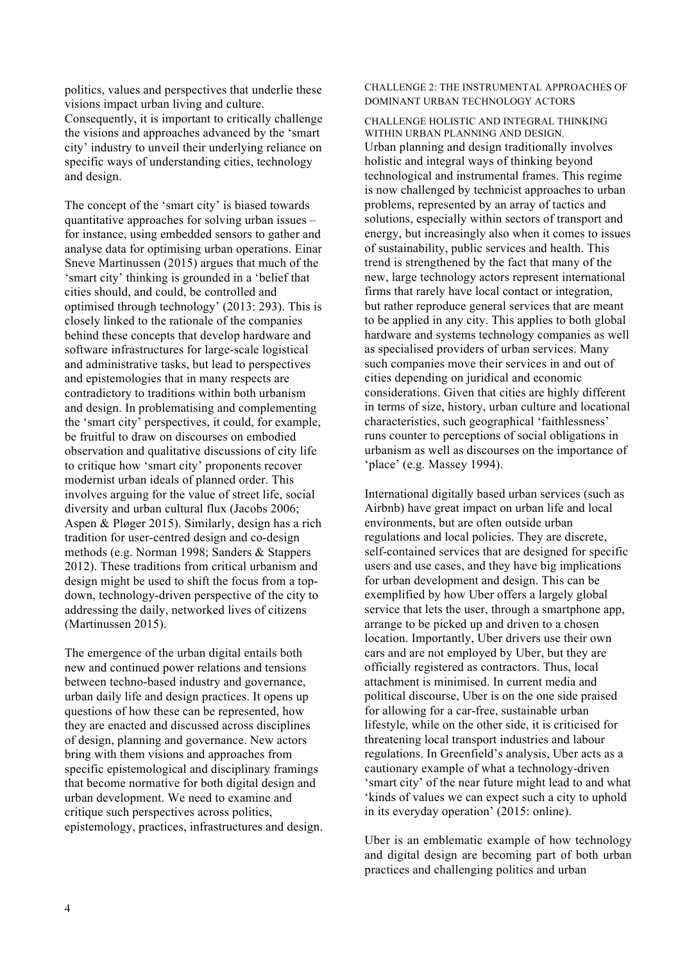politics, values and perspectives that underlie these visions impact urban living and culture. Consequently, it is important to critically challenge the visions and approaches advanced by the 'smart city' industry to unveil their underlying reliance on specific ways of understanding cities, technology and design.

The concept of the 'smart city' is biased towards quantitative approaches for solving urban issues – for instance, using embedded sensors to gather and analyse data for optimising urban operations. Einar Sneve Martinussen (2015) argues that much of the 'smart city' thinking is grounded in a 'belief that cities should, and could, be controlled and optimised through technology' (2013: 293). This is closely linked to the rationale of the companies behind these concepts that develop hardware and software infrastructures for large-scale logistical and administrative tasks, but lead to perspectives and epistemologies that in many respects are contradictory to traditions within both urbanism and design. In problematising and complementing the 'smart city' perspectives, it could, for example, be fruitful to draw on discourses on embodied observation and qualitative discussions of city life to critique how 'smart city' proponents recover modernist urban ideals of planned order. This involves arguing for the value of street life, social diversity and urban cultural flux (Jacobs 2006; Aspen & Pløger 2015). Similarly, design has a rich tradition for user-centred design and co-design methods (e.g. Norman 1998; Sanders & Stappers 2012). These traditions from critical urbanism and design might be used to shift the focus from a topdown, technology-driven perspective of the city to addressing the daily, networked lives of citizens (Martinussen 2015).

The emergence of the urban digital entails both new and continued power relations and tensions between techno-based industry and governance, urban daily life and design practices. It opens up questions of how these can be represented, how they are enacted and discussed across disciplines of design, planning and governance. New actors bring with them visions and approaches from specific epistemological and disciplinary framings that become normative for both digital design and urban development. We need to examine and critique such perspectives across politics, epistemology, practices, infrastructures and design. CHALLENGE 2: THE INSTRUMENTAL APPROACHES OF DOMINANT URBAN TECHNOLOGY ACTORS

CHALLENGE HOLISTIC AND INTEGRAL THINKING WITHIN URBAN PLANNING AND DESIGN. Urban planning and design traditionally involves holistic and integral ways of thinking beyond technological and instrumental frames. This regime is now challenged by technicist approaches to urban problems, represented by an array of tactics and solutions, especially within sectors of transport and energy, but increasingly also when it comes to issues of sustainability, public services and health. This trend is strengthened by the fact that many of the new, large technology actors represent international firms that rarely have local contact or integration, but rather reproduce general services that are meant to be applied in any city. This applies to both global hardware and systems technology companies as well as specialised providers of urban services. Many such companies move their services in and out of cities depending on juridical and economic considerations. Given that cities are highly different in terms of size, history, urban culture and locational characteristics, such geographical 'faithlessness' runs counter to perceptions of social obligations in urbanism as well as discourses on the importance of 'place' (e.g. Massey 1994).

International digitally based urban services (such as Airbnb) have great impact on urban life and local environments, but are often outside urban regulations and local policies. They are discrete, self-contained services that are designed for specific users and use cases, and they have big implications for urban development and design. This can be exemplified by how Uber offers a largely global service that lets the user, through a smartphone app, arrange to be picked up and driven to a chosen location. Importantly, Uber drivers use their own cars and are not employed by Uber, but they are officially registered as contractors. Thus, local attachment is minimised. In current media and political discourse, Uber is on the one side praised for allowing for a car-free, sustainable urban lifestyle, while on the other side, it is criticised for threatening local transport industries and labour regulations. In Greenfield's analysis, Uber acts as a cautionary example of what a technology-driven 'smart city' of the near future might lead to and what 'kinds of values we can expect such a city to uphold in its everyday operation' (2015: online).

Uber is an emblematic example of how technology and digital design are becoming part of both urban practices and challenging politics and urban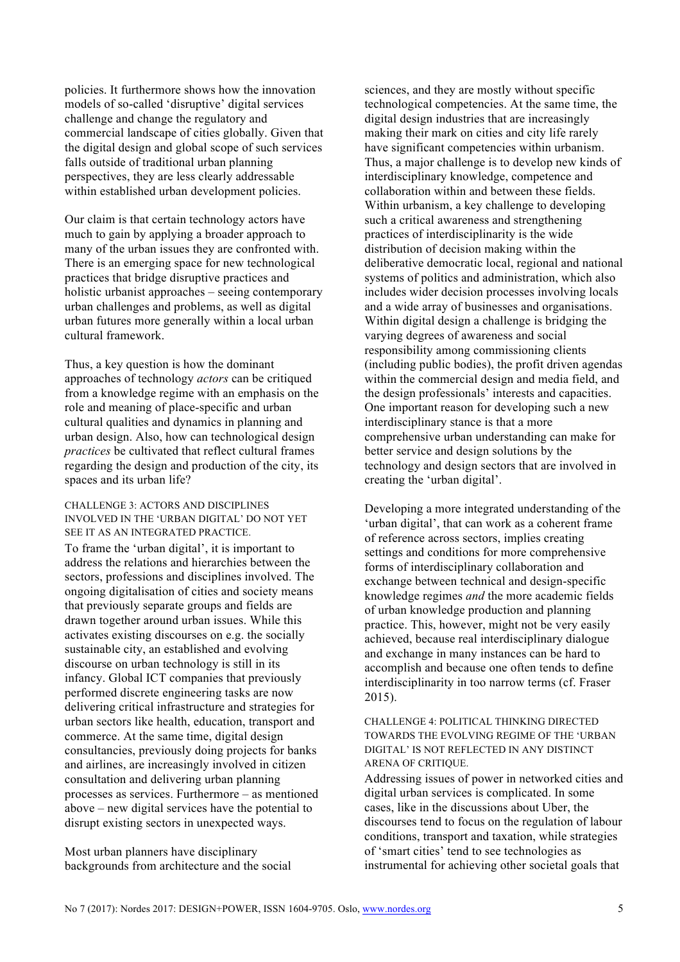policies. It furthermore shows how the innovation models of so-called 'disruptive' digital services challenge and change the regulatory and commercial landscape of cities globally. Given that the digital design and global scope of such services falls outside of traditional urban planning perspectives, they are less clearly addressable within established urban development policies.

Our claim is that certain technology actors have much to gain by applying a broader approach to many of the urban issues they are confronted with. There is an emerging space for new technological practices that bridge disruptive practices and holistic urbanist approaches – seeing contemporary urban challenges and problems, as well as digital urban futures more generally within a local urban cultural framework.

Thus, a key question is how the dominant approaches of technology *actors* can be critiqued from a knowledge regime with an emphasis on the role and meaning of place-specific and urban cultural qualities and dynamics in planning and urban design. Also, how can technological design *practices* be cultivated that reflect cultural frames regarding the design and production of the city, its spaces and its urban life?

CHALLENGE 3: ACTORS AND DISCIPLINES INVOLVED IN THE 'URBAN DIGITAL' DO NOT YET SEE IT AS AN INTEGRATED PRACTICE.

To frame the 'urban digital', it is important to address the relations and hierarchies between the sectors, professions and disciplines involved. The ongoing digitalisation of cities and society means that previously separate groups and fields are drawn together around urban issues. While this activates existing discourses on e.g. the socially sustainable city, an established and evolving discourse on urban technology is still in its infancy. Global ICT companies that previously performed discrete engineering tasks are now delivering critical infrastructure and strategies for urban sectors like health, education, transport and commerce. At the same time, digital design consultancies, previously doing projects for banks and airlines, are increasingly involved in citizen consultation and delivering urban planning processes as services. Furthermore – as mentioned above – new digital services have the potential to disrupt existing sectors in unexpected ways.

Most urban planners have disciplinary backgrounds from architecture and the social sciences, and they are mostly without specific technological competencies. At the same time, the digital design industries that are increasingly making their mark on cities and city life rarely have significant competencies within urbanism. Thus, a major challenge is to develop new kinds of interdisciplinary knowledge, competence and collaboration within and between these fields. Within urbanism, a key challenge to developing such a critical awareness and strengthening practices of interdisciplinarity is the wide distribution of decision making within the deliberative democratic local, regional and national systems of politics and administration, which also includes wider decision processes involving locals and a wide array of businesses and organisations. Within digital design a challenge is bridging the varying degrees of awareness and social responsibility among commissioning clients (including public bodies), the profit driven agendas within the commercial design and media field, and the design professionals' interests and capacities. One important reason for developing such a new interdisciplinary stance is that a more comprehensive urban understanding can make for better service and design solutions by the technology and design sectors that are involved in creating the 'urban digital'.

Developing a more integrated understanding of the 'urban digital', that can work as a coherent frame of reference across sectors, implies creating settings and conditions for more comprehensive forms of interdisciplinary collaboration and exchange between technical and design-specific knowledge regimes *and* the more academic fields of urban knowledge production and planning practice. This, however, might not be very easily achieved, because real interdisciplinary dialogue and exchange in many instances can be hard to accomplish and because one often tends to define interdisciplinarity in too narrow terms (cf. Fraser 2015).

CHALLENGE 4: POLITICAL THINKING DIRECTED TOWARDS THE EVOLVING REGIME OF THE 'URBAN DIGITAL' IS NOT REFLECTED IN ANY DISTINCT ARENA OF CRITIQUE.

Addressing issues of power in networked cities and digital urban services is complicated. In some cases, like in the discussions about Uber, the discourses tend to focus on the regulation of labour conditions, transport and taxation, while strategies of 'smart cities' tend to see technologies as instrumental for achieving other societal goals that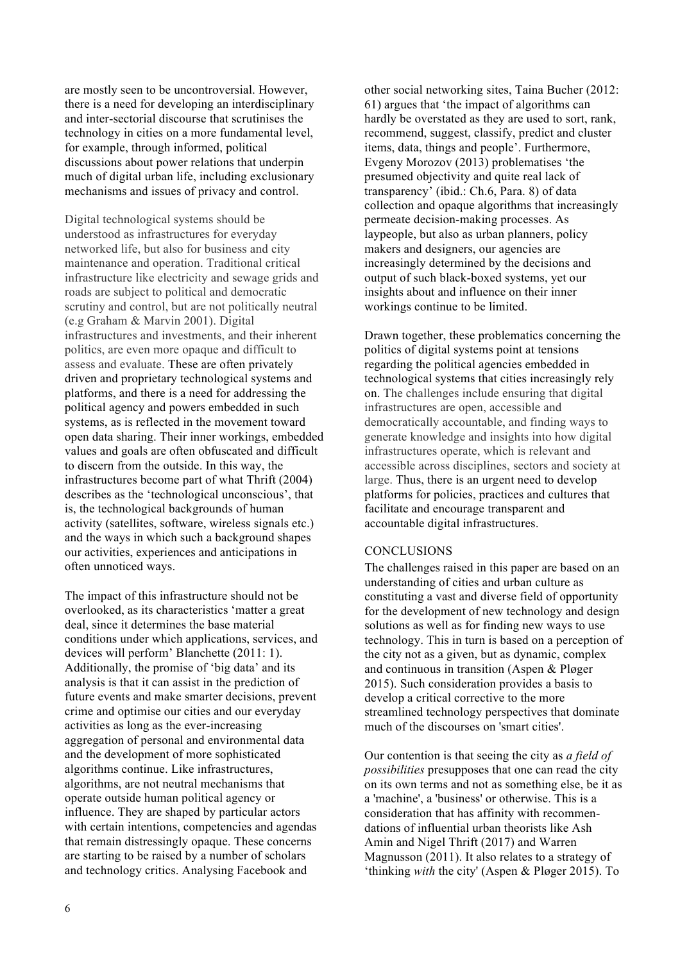are mostly seen to be uncontroversial. However, there is a need for developing an interdisciplinary and inter-sectorial discourse that scrutinises the technology in cities on a more fundamental level, for example, through informed, political discussions about power relations that underpin much of digital urban life, including exclusionary mechanisms and issues of privacy and control.

Digital technological systems should be understood as infrastructures for everyday networked life, but also for business and city maintenance and operation. Traditional critical infrastructure like electricity and sewage grids and roads are subject to political and democratic scrutiny and control, but are not politically neutral (e.g Graham & Marvin 2001). Digital infrastructures and investments, and their inherent politics, are even more opaque and difficult to assess and evaluate. These are often privately driven and proprietary technological systems and platforms, and there is a need for addressing the political agency and powers embedded in such systems, as is reflected in the movement toward open data sharing. Their inner workings, embedded values and goals are often obfuscated and difficult to discern from the outside. In this way, the infrastructures become part of what Thrift (2004) describes as the 'technological unconscious', that is, the technological backgrounds of human activity (satellites, software, wireless signals etc.) and the ways in which such a background shapes our activities, experiences and anticipations in often unnoticed ways.

The impact of this infrastructure should not be overlooked, as its characteristics 'matter a great deal, since it determines the base material conditions under which applications, services, and devices will perform' Blanchette (2011: 1). Additionally, the promise of 'big data' and its analysis is that it can assist in the prediction of future events and make smarter decisions, prevent crime and optimise our cities and our everyday activities as long as the ever-increasing aggregation of personal and environmental data and the development of more sophisticated algorithms continue. Like infrastructures, algorithms, are not neutral mechanisms that operate outside human political agency or influence. They are shaped by particular actors with certain intentions, competencies and agendas that remain distressingly opaque. These concerns are starting to be raised by a number of scholars and technology critics. Analysing Facebook and

other social networking sites, Taina Bucher (2012: 61) argues that 'the impact of algorithms can hardly be overstated as they are used to sort, rank, recommend, suggest, classify, predict and cluster items, data, things and people'. Furthermore, Evgeny Morozov (2013) problematises 'the presumed objectivity and quite real lack of transparency' (ibid.: Ch.6, Para. 8) of data collection and opaque algorithms that increasingly permeate decision-making processes. As laypeople, but also as urban planners, policy makers and designers, our agencies are increasingly determined by the decisions and output of such black-boxed systems, yet our insights about and influence on their inner workings continue to be limited.

Drawn together, these problematics concerning the politics of digital systems point at tensions regarding the political agencies embedded in technological systems that cities increasingly rely on. The challenges include ensuring that digital infrastructures are open, accessible and democratically accountable, and finding ways to generate knowledge and insights into how digital infrastructures operate, which is relevant and accessible across disciplines, sectors and society at large. Thus, there is an urgent need to develop platforms for policies, practices and cultures that facilitate and encourage transparent and accountable digital infrastructures.

#### **CONCLUSIONS**

The challenges raised in this paper are based on an understanding of cities and urban culture as constituting a vast and diverse field of opportunity for the development of new technology and design solutions as well as for finding new ways to use technology. This in turn is based on a perception of the city not as a given, but as dynamic, complex and continuous in transition (Aspen & Pløger 2015). Such consideration provides a basis to develop a critical corrective to the more streamlined technology perspectives that dominate much of the discourses on 'smart cities'.

Our contention is that seeing the city as *a field of possibilities* presupposes that one can read the city on its own terms and not as something else, be it as a 'machine', a 'business' or otherwise. This is a consideration that has affinity with recommendations of influential urban theorists like Ash Amin and Nigel Thrift (2017) and Warren Magnusson (2011). It also relates to a strategy of 'thinking *with* the city' (Aspen & Pløger 2015). To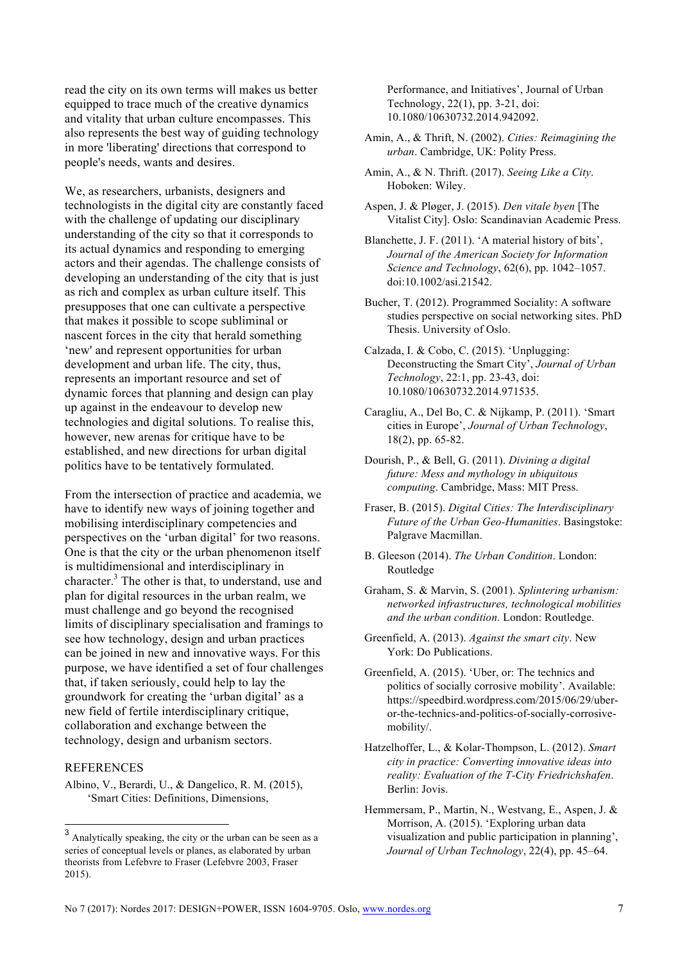read the city on its own terms will makes us better equipped to trace much of the creative dynamics and vitality that urban culture encompasses. This also represents the best way of guiding technology in more 'liberating' directions that correspond to people's needs, wants and desires.

We, as researchers, urbanists, designers and technologists in the digital city are constantly faced with the challenge of updating our disciplinary understanding of the city so that it corresponds to its actual dynamics and responding to emerging actors and their agendas. The challenge consists of developing an understanding of the city that is just as rich and complex as urban culture itself. This presupposes that one can cultivate a perspective that makes it possible to scope subliminal or nascent forces in the city that herald something 'new' and represent opportunities for urban development and urban life. The city, thus, represents an important resource and set of dynamic forces that planning and design can play up against in the endeavour to develop new technologies and digital solutions. To realise this, however, new arenas for critique have to be established, and new directions for urban digital politics have to be tentatively formulated.

From the intersection of practice and academia, we have to identify new ways of joining together and mobilising interdisciplinary competencies and perspectives on the 'urban digital' for two reasons. One is that the city or the urban phenomenon itself is multidimensional and interdisciplinary in character.<sup>3</sup> The other is that, to understand, use and plan for digital resources in the urban realm, we must challenge and go beyond the recognised limits of disciplinary specialisation and framings to see how technology, design and urban practices can be joined in new and innovative ways. For this purpose, we have identified a set of four challenges that, if taken seriously, could help to lay the groundwork for creating the 'urban digital' as a new field of fertile interdisciplinary critique, collaboration and exchange between the technology, design and urbanism sectors.

#### **REFERENCES**

Albino, V., Berardi, U., & Dangelico, R. M. (2015), 'Smart Cities: Definitions, Dimensions,

Performance, and Initiatives', Journal of Urban Technology, 22(1), pp. 3-21, doi: 10.1080/10630732.2014.942092.

- Amin, A., & Thrift, N. (2002). *Cities: Reimagining the urban*. Cambridge, UK: Polity Press.
- Amin, A., & N. Thrift. (2017). *Seeing Like a City*. Hoboken: Wiley.
- Aspen, J. & Pløger, J. (2015). *Den vitale byen* [The Vitalist City]. Oslo: Scandinavian Academic Press.
- Blanchette, J. F. (2011). 'A material history of bits', *Journal of the American Society for Information Science and Technology*, 62(6), pp. 1042–1057. doi:10.1002/asi.21542.
- Bucher, T. (2012). Programmed Sociality: A software studies perspective on social networking sites. PhD Thesis. University of Oslo.

Calzada, I. & Cobo, C. (2015). 'Unplugging: Deconstructing the Smart City', *Journal of Urban Technology*, 22:1, pp. 23-43, doi: 10.1080/10630732.2014.971535.

- Caragliu, A., Del Bo, C. & Nijkamp, P. (2011). 'Smart cities in Europe', *Journal of Urban Technology*, 18(2), pp. 65-82.
- Dourish, P., & Bell, G. (2011). *Divining a digital future: Mess and mythology in ubiquitous computing*. Cambridge, Mass: MIT Press.
- Fraser, B. (2015). *Digital Cities: The Interdisciplinary Future of the Urban Geo-Humanities*. Basingstoke: Palgrave Macmillan.
- B. Gleeson (2014). *The Urban Condition*. London: Routledge
- Graham, S. & Marvin, S. (2001). *Splintering urbanism: networked infrastructures, technological mobilities and the urban condition.* London: Routledge.
- Greenfield, A. (2013). *Against the smart city*. New York: Do Publications.
- Greenfield, A. (2015). 'Uber, or: The technics and politics of socially corrosive mobility'. Available: https://speedbird.wordpress.com/2015/06/29/uberor-the-technics-and-politics-of-socially-corrosivemobility/.
- Hatzelhoffer, L., & Kolar-Thompson, L. (2012). *Smart city in practice: Converting innovative ideas into reality: Evaluation of the T-City Friedrichshafen*. Berlin: Jovis.
- Hemmersam, P., Martin, N., Westvang, E., Aspen, J. & Morrison, A. (2015). 'Exploring urban data visualization and public participation in planning', *Journal of Urban Technology*, 22(4), pp. 45–64.

<sup>3</sup> Analytically speaking, the city or the urban can be seen as a series of conceptual levels or planes, as elaborated by urban theorists from Lefebvre to Fraser (Lefebvre 2003, Fraser 2015).